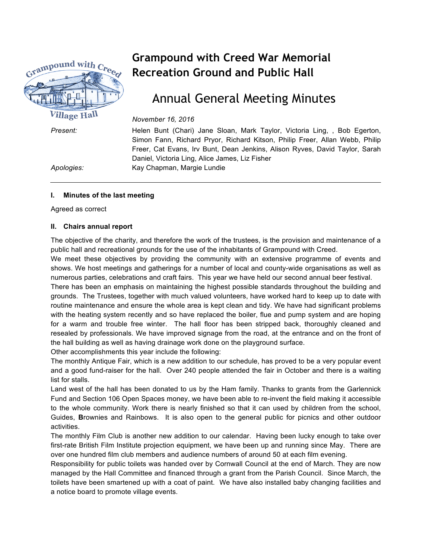

# **Grampound with Creed War Memorial Recreation Ground and Public Hall**

# Annual General Meeting Minutes

*November 16, 2016*

*Present:* Helen Bunt (Chari) Jane Sloan, Mark Taylor, Victoria Ling, , Bob Egerton, Simon Fann, Richard Pryor, Richard Kitson, Philip Freer, Allan Webb, Philip Freer, Cat Evans, Irv Bunt, Dean Jenkins, Alison Ryves, David Taylor, Sarah Daniel, Victoria Ling, Alice James, Liz Fisher *Apologies:* Kay Chapman, Margie Lundie

#### **I. Minutes of the last meeting**

Agreed as correct

#### **II. Chairs annual report**

The objective of the charity, and therefore the work of the trustees, is the provision and maintenance of a public hall and recreational grounds for the use of the inhabitants of Grampound with Creed.

We meet these objectives by providing the community with an extensive programme of events and shows. We host meetings and gatherings for a number of local and county-wide organisations as well as numerous parties, celebrations and craft fairs. This year we have held our second annual beer festival.

There has been an emphasis on maintaining the highest possible standards throughout the building and grounds. The Trustees, together with much valued volunteers, have worked hard to keep up to date with routine maintenance and ensure the whole area is kept clean and tidy. We have had significant problems with the heating system recently and so have replaced the boiler, flue and pump system and are hoping for a warm and trouble free winter. The hall floor has been stripped back, thoroughly cleaned and resealed by professionals. We have improved signage from the road, at the entrance and on the front of the hall building as well as having drainage work done on the playground surface.

Other accomplishments this year include the following:

The monthly Antique Fair, which is a new addition to our schedule, has proved to be a very popular event and a good fund-raiser for the hall. Over 240 people attended the fair in October and there is a waiting list for stalls.

Land west of the hall has been donated to us by the Ham family. Thanks to grants from the Garlennick Fund and Section 106 Open Spaces money, we have been able to re-invent the field making it accessible to the whole community. Work there is nearly finished so that it can used by children from the school, Guides, **B**rownies and Rainbows. It is also open to the general public for picnics and other outdoor activities.

The monthly Film Club is another new addition to our calendar. Having been lucky enough to take over first-rate British Film Institute projection equipment, we have been up and running since May. There are over one hundred film club members and audience numbers of around 50 at each film evening.

Responsibility for public toilets was handed over by Cornwall Council at the end of March. They are now managed by the Hall Committee and financed through a grant from the Parish Council. Since March, the toilets have been smartened up with a coat of paint. We have also installed baby changing facilities and a notice board to promote village events.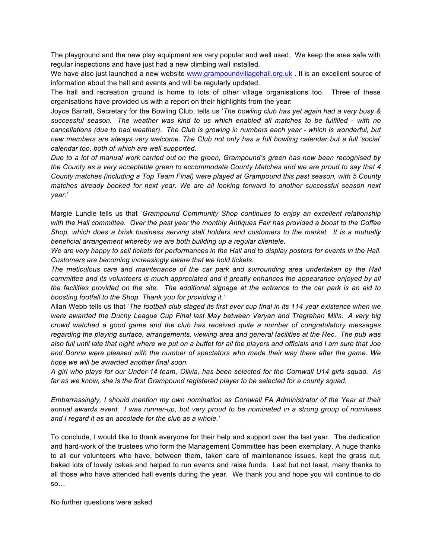The playground and the new play equipment are very popular and well used. We keep the area safe with regular inspections and have just had a new climbing wall installed.

We have also just launched a new website www.grampoundvillagehall.org.uk . It is an excellent source of information about the hall and events and will be regularly updated.

The hall and recreation ground is home to lots of other village organisations too. Three of these organisations have provided us with a report on their highlights from the year:

Joyce Barratt, Secretary for the Bowling Club, tells us '*The bowling club has yet again had a very busy & successful season. The weather was kind to us which enabled all matches to be fulfilled - with no cancellations (due to bad weather). The Club is growing in numbers each year - which is wonderful, but new members are always very welcome. The Club not only has a full bowling calendar but a full 'social' calendar too, both of which are well supported.*

*Due to a lot of manual work carried out on the green, Grampound's green has now been recognised by the County as a very acceptable green to accommodate County Matches and we are proud to say that 4 County matches (including a Top Team Final) were played at Grampound this past season, with 5 County matches already booked for next year. We are all looking forward to another successful season next year.'*

Margie Lundie tells us that *'Grampound Community Shop continues to enjoy an excellent relationship with the Hall committee. Over the past year the monthly Antiques Fair has provided a boost to the Coffee Shop, which does a brisk business serving stall holders and customers to the market. It is a mutually beneficial arrangement whereby we are both building up a regular clientele.*

*We are very happy to sell tickets for performances in the Hall and to display posters for events in the Hall. Customers are becoming increasingly aware that we hold tickets.*

*The meticulous care and maintenance of the car park and surrounding area undertaken by the Hall committee and its volunteers is much appreciated and it greatly enhances the appearance enjoyed by all the facilities provided on the site. The additional signage at the entrance to the car park is an aid to boosting footfall to the Shop. Thank you for providing it.'*

Allan Webb tells us that '*The football club staged its first ever cup final in its 114 year existence when we were awarded the Duchy League Cup Final last May between Veryan and Tregrehan Mills. A very big crowd watched a good game and the club has received quite a number of congratulatory messages regarding the playing surface, arrangements, viewing area and general facilities at the Rec. The pub was also full until late that night where we put on a buffet for all the players and officials and I am sure that Joe and Donna were pleased with the number of spectators who made their way there after the game. We hope we will be awarded another final soon.*

*A girl who plays for our Under-14 team, Olivia, has been selected for the Cornwall U14 girls squad. As far as we know, she is the first Grampound registered player to be selected for a county squad.*

*Embarrassingly, I should mention my own nomination as Cornwall FA Administrator of the Year at their annual awards event. I was runner-up, but very proud to be nominated in a strong group of nominees and I regard it as an accolade for the club as a whole.'*

To conclude, I would like to thank everyone for their help and support over the last year. The dedication and hard-work of the trustees who form the Management Committee has been exemplary. A huge thanks to all our volunteers who have, between them, taken care of maintenance issues, kept the grass cut, baked lots of lovely cakes and helped to run events and raise funds. Last but not least, many thanks to all those who have attended hall events during the year. We thank you and hope you will continue to do so…

No further questions were asked